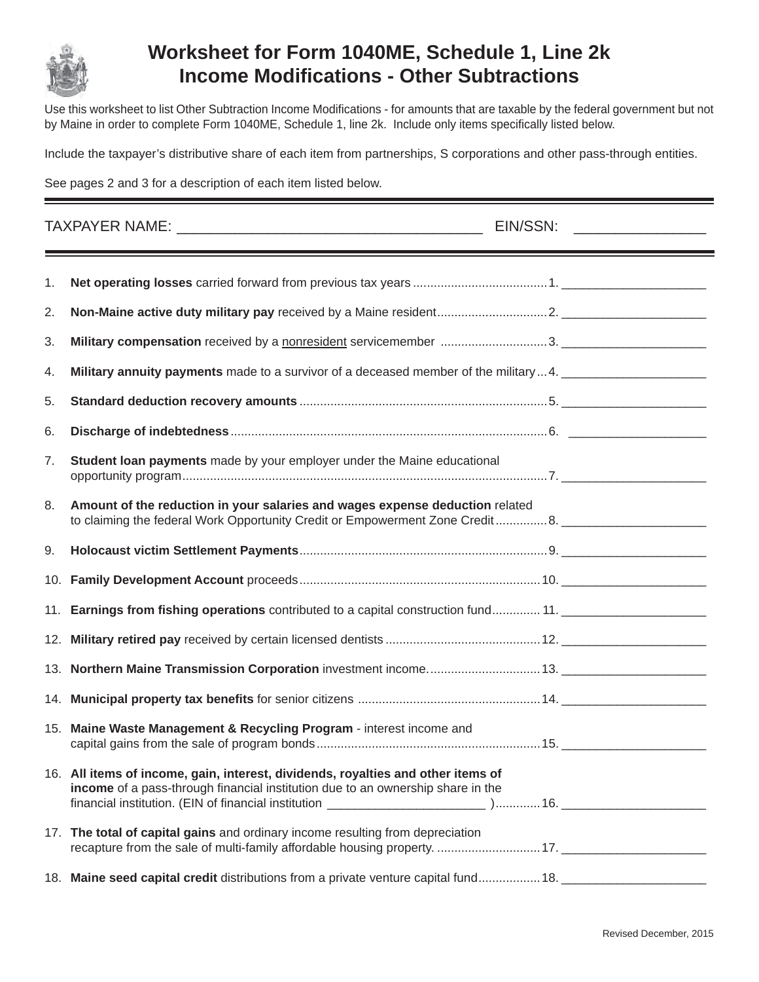

## **Worksheet for Form 1040ME, Schedule 1, Line 2k Income Modifi cations - Other Subtractions**

Use this worksheet to list Other Subtraction Income Modifications - for amounts that are taxable by the federal government but not by Maine in order to complete Form 1040ME, Schedule 1, line 2k. Include only items specifically listed below.

Include the taxpayer's distributive share of each item from partnerships, S corporations and other pass-through entities.

See pages 2 and 3 for a description of each item listed below.

| 1. |                                                                                                                                                                                                                                 |  |  |
|----|---------------------------------------------------------------------------------------------------------------------------------------------------------------------------------------------------------------------------------|--|--|
| 2. |                                                                                                                                                                                                                                 |  |  |
| 3. |                                                                                                                                                                                                                                 |  |  |
| 4. | Military annuity payments made to a survivor of a deceased member of the military4. [10] Muslim matter and the military of a decay of the military of $\sim$ 100 mm matter and the military of $\sim$ 0.000 mm matter and the m |  |  |
| 5. |                                                                                                                                                                                                                                 |  |  |
| 6. |                                                                                                                                                                                                                                 |  |  |
| 7. | Student loan payments made by your employer under the Maine educational                                                                                                                                                         |  |  |
| 8. | Amount of the reduction in your salaries and wages expense deduction related<br>to claiming the federal Work Opportunity Credit or Empowerment Zone Credit8.                                                                    |  |  |
| 9. |                                                                                                                                                                                                                                 |  |  |
|    |                                                                                                                                                                                                                                 |  |  |
|    |                                                                                                                                                                                                                                 |  |  |
|    |                                                                                                                                                                                                                                 |  |  |
|    |                                                                                                                                                                                                                                 |  |  |
|    |                                                                                                                                                                                                                                 |  |  |
|    | 15. Maine Waste Management & Recycling Program - interest income and                                                                                                                                                            |  |  |
|    | 16. All items of income, gain, interest, dividends, royalties and other items of<br>income of a pass-through financial institution due to an ownership share in the                                                             |  |  |
|    | 17. The total of capital gains and ordinary income resulting from depreciation                                                                                                                                                  |  |  |
|    | 18. Maine seed capital credit distributions from a private venture capital fund 18.                                                                                                                                             |  |  |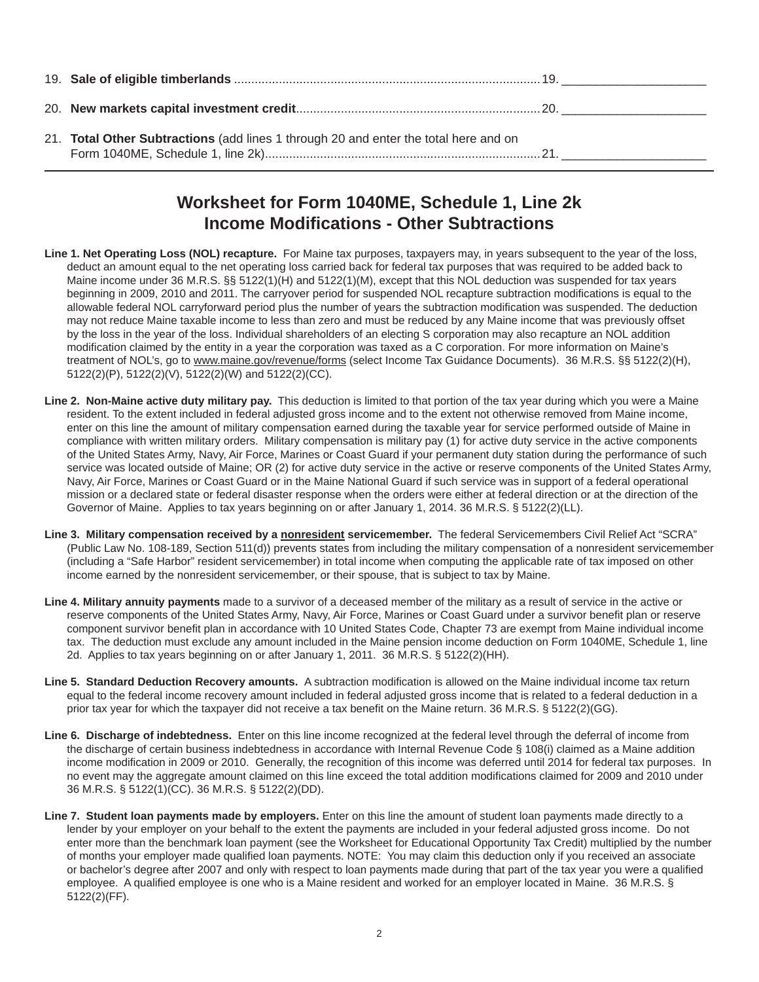| 21. Total Other Subtractions (add lines 1 through 20 and enter the total here and on |  |
|--------------------------------------------------------------------------------------|--|

## **Worksheet for Form 1040ME, Schedule 1, Line 2k Income Modifi cations - Other Subtractions**

- **Line 1. Net Operating Loss (NOL) recapture.** For Maine tax purposes, taxpayers may, in years subsequent to the year of the loss, deduct an amount equal to the net operating loss carried back for federal tax purposes that was required to be added back to Maine income under 36 M.R.S. §§ 5122(1)(H) and 5122(1)(M), except that this NOL deduction was suspended for tax years beginning in 2009, 2010 and 2011. The carryover period for suspended NOL recapture subtraction modifications is equal to the allowable federal NOL carryforward period plus the number of years the subtraction modification was suspended. The deduction may not reduce Maine taxable income to less than zero and must be reduced by any Maine income that was previously offset by the loss in the year of the loss. Individual shareholders of an electing S corporation may also recapture an NOL addition modification claimed by the entity in a year the corporation was taxed as a C corporation. For more information on Maine's treatment of NOL's, go to www.maine.gov/revenue/forms (select Income Tax Guidance Documents). 36 M.R.S. §§ 5122(2)(H), 5122(2)(P), 5122(2)(V), 5122(2)(W) and 5122(2)(CC).
- **Line 2. Non-Maine active duty military pay.** This deduction is limited to that portion of the tax year during which you were a Maine resident. To the extent included in federal adjusted gross income and to the extent not otherwise removed from Maine income, enter on this line the amount of military compensation earned during the taxable year for service performed outside of Maine in compliance with written military orders. Military compensation is military pay (1) for active duty service in the active components of the United States Army, Navy, Air Force, Marines or Coast Guard if your permanent duty station during the performance of such service was located outside of Maine; OR (2) for active duty service in the active or reserve components of the United States Army, Navy, Air Force, Marines or Coast Guard or in the Maine National Guard if such service was in support of a federal operational mission or a declared state or federal disaster response when the orders were either at federal direction or at the direction of the Governor of Maine. Applies to tax years beginning on or after January 1, 2014. 36 M.R.S. § 5122(2)(LL).
- **Line 3. Military compensation received by a nonresident servicemember.** The federal Servicemembers Civil Relief Act "SCRA" (Public Law No. 108-189, Section 511(d)) prevents states from including the military compensation of a nonresident servicemember (including a "Safe Harbor" resident servicemember) in total income when computing the applicable rate of tax imposed on other income earned by the nonresident servicemember, or their spouse, that is subject to tax by Maine.
- **Line 4. Military annuity payments** made to a survivor of a deceased member of the military as a result of service in the active or reserve components of the United States Army, Navy, Air Force, Marines or Coast Guard under a survivor benefit plan or reserve component survivor benefit plan in accordance with 10 United States Code, Chapter 73 are exempt from Maine individual income tax. The deduction must exclude any amount included in the Maine pension income deduction on Form 1040ME, Schedule 1, line 2d. Applies to tax years beginning on or after January 1, 2011. 36 M.R.S. § 5122(2)(HH).
- Line 5. Standard Deduction Recovery amounts. A subtraction modification is allowed on the Maine individual income tax return equal to the federal income recovery amount included in federal adjusted gross income that is related to a federal deduction in a prior tax year for which the taxpayer did not receive a tax benefit on the Maine return. 36 M.R.S. § 5122(2)(GG).
- **Line 6. Discharge of indebtedness.** Enter on this line income recognized at the federal level through the deferral of income from the discharge of certain business indebtedness in accordance with Internal Revenue Code § 108(i) claimed as a Maine addition income modification in 2009 or 2010. Generally, the recognition of this income was deferred until 2014 for federal tax purposes. In no event may the aggregate amount claimed on this line exceed the total addition modifications claimed for 2009 and 2010 under 36 M.R.S. § 5122(1)(CC). 36 M.R.S. § 5122(2)(DD).
- **Line 7. Student loan payments made by employers.** Enter on this line the amount of student loan payments made directly to a lender by your employer on your behalf to the extent the payments are included in your federal adjusted gross income. Do not enter more than the benchmark loan payment (see the Worksheet for Educational Opportunity Tax Credit) multiplied by the number of months your employer made qualified loan payments. NOTE: You may claim this deduction only if you received an associate or bachelor's degree after 2007 and only with respect to loan payments made during that part of the tax year you were a qualified employee. A qualified employee is one who is a Maine resident and worked for an employer located in Maine. 36 M.R.S. § 5122(2)(FF).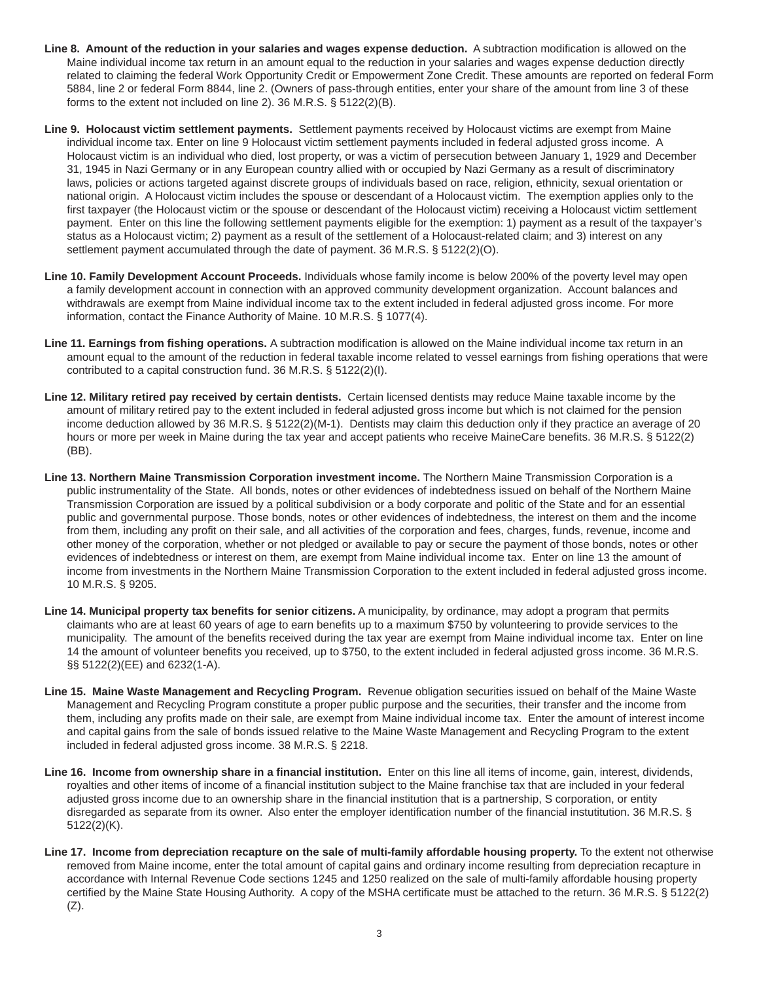- Line 8. Amount of the reduction in your salaries and wages expense deduction. A subtraction modification is allowed on the Maine individual income tax return in an amount equal to the reduction in your salaries and wages expense deduction directly related to claiming the federal Work Opportunity Credit or Empowerment Zone Credit. These amounts are reported on federal Form 5884, line 2 or federal Form 8844, line 2. (Owners of pass-through entities, enter your share of the amount from line 3 of these forms to the extent not included on line 2). 36 M.R.S. § 5122(2)(B).
- **Line 9. Holocaust victim settlement payments.** Settlement payments received by Holocaust victims are exempt from Maine individual income tax. Enter on line 9 Holocaust victim settlement payments included in federal adjusted gross income. A Holocaust victim is an individual who died, lost property, or was a victim of persecution between January 1, 1929 and December 31, 1945 in Nazi Germany or in any European country allied with or occupied by Nazi Germany as a result of discriminatory laws, policies or actions targeted against discrete groups of individuals based on race, religion, ethnicity, sexual orientation or national origin. A Holocaust victim includes the spouse or descendant of a Holocaust victim. The exemption applies only to the first taxpayer (the Holocaust victim or the spouse or descendant of the Holocaust victim) receiving a Holocaust victim settlement payment. Enter on this line the following settlement payments eligible for the exemption: 1) payment as a result of the taxpayer's status as a Holocaust victim; 2) payment as a result of the settlement of a Holocaust-related claim; and 3) interest on any settlement payment accumulated through the date of payment. 36 M.R.S. § 5122(2)(O).
- **Line 10. Family Development Account Proceeds.** Individuals whose family income is below 200% of the poverty level may open a family development account in connection with an approved community development organization. Account balances and withdrawals are exempt from Maine individual income tax to the extent included in federal adjusted gross income. For more information, contact the Finance Authority of Maine. 10 M.R.S. § 1077(4).
- **Line 11. Earnings from fishing operations.** A subtraction modification is allowed on the Maine individual income tax return in an amount equal to the amount of the reduction in federal taxable income related to vessel earnings from fishing operations that were contributed to a capital construction fund. 36 M.R.S. § 5122(2)(I).
- **Line 12. Military retired pay received by certain dentists.** Certain licensed dentists may reduce Maine taxable income by the amount of military retired pay to the extent included in federal adjusted gross income but which is not claimed for the pension income deduction allowed by 36 M.R.S. § 5122(2)(M-1). Dentists may claim this deduction only if they practice an average of 20 hours or more per week in Maine during the tax year and accept patients who receive MaineCare benefits. 36 M.R.S. § 5122(2) (BB).
- **Line 13. Northern Maine Transmission Corporation investment income.** The Northern Maine Transmission Corporation is a public instrumentality of the State. All bonds, notes or other evidences of indebtedness issued on behalf of the Northern Maine Transmission Corporation are issued by a political subdivision or a body corporate and politic of the State and for an essential public and governmental purpose. Those bonds, notes or other evidences of indebtedness, the interest on them and the income from them, including any profit on their sale, and all activities of the corporation and fees, charges, funds, revenue, income and other money of the corporation, whether or not pledged or available to pay or secure the payment of those bonds, notes or other evidences of indebtedness or interest on them, are exempt from Maine individual income tax. Enter on line 13 the amount of income from investments in the Northern Maine Transmission Corporation to the extent included in federal adjusted gross income. 10 M.R.S. § 9205.
- Line 14. Municipal property tax benefits for senior citizens. A municipality, by ordinance, may adopt a program that permits claimants who are at least 60 years of age to earn benefits up to a maximum \$750 by volunteering to provide services to the municipality. The amount of the benefits received during the tax year are exempt from Maine individual income tax. Enter on line 14 the amount of volunteer benefits you received, up to \$750, to the extent included in federal adjusted gross income. 36 M.R.S. §§ 5122(2)(EE) and 6232(1-A).
- **Line 15. Maine Waste Management and Recycling Program.** Revenue obligation securities issued on behalf of the Maine Waste Management and Recycling Program constitute a proper public purpose and the securities, their transfer and the income from them, including any profits made on their sale, are exempt from Maine individual income tax. Enter the amount of interest income and capital gains from the sale of bonds issued relative to the Maine Waste Management and Recycling Program to the extent included in federal adjusted gross income. 38 M.R.S. § 2218.
- Line 16. Income from ownership share in a financial institution. Enter on this line all items of income, gain, interest, dividends, royalties and other items of income of a financial institution subject to the Maine franchise tax that are included in your federal adjusted gross income due to an ownership share in the financial institution that is a partnership, S corporation, or entity disregarded as separate from its owner. Also enter the employer identification number of the financial instutitution. 36 M.R.S. § 5122(2)(K).
- **Line 17. Income from depreciation recapture on the sale of multi-family affordable housing property.** To the extent not otherwise removed from Maine income, enter the total amount of capital gains and ordinary income resulting from depreciation recapture in accordance with Internal Revenue Code sections 1245 and 1250 realized on the sale of multi-family affordable housing property certified by the Maine State Housing Authority. A copy of the MSHA certificate must be attached to the return. 36 M.R.S. § 5122(2)  $(Z)$ .